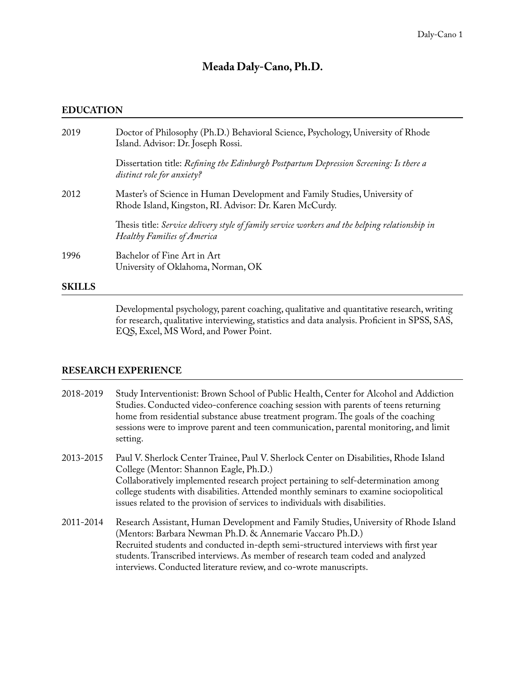# **Meada Daly-Cano, Ph.D.**

### **EDUCATION**

| 2019          | Doctor of Philosophy (Ph.D.) Behavioral Science, Psychology, University of Rhode<br>Island. Advisor: Dr. Joseph Rossi.                |
|---------------|---------------------------------------------------------------------------------------------------------------------------------------|
|               | Dissertation title: Refining the Edinburgh Postpartum Depression Screening: Is there a<br>distinct role for anxiety?                  |
| 2012          | Master's of Science in Human Development and Family Studies, University of<br>Rhode Island, Kingston, RI. Advisor: Dr. Karen McCurdy. |
|               | Thesis title: Service delivery style of family service workers and the helping relationship in<br>Healthy Families of America         |
| 1996          | Bachelor of Fine Art in Art<br>University of Oklahoma, Norman, OK                                                                     |
| <b>SKILLS</b> |                                                                                                                                       |

 Developmental psychology, parent coaching, qualitative and quantitative research, writing for research, qualitative interviewing, statistics and data analysis. Profcient in SPSS, SAS, EQS, Excel, MS Word, and Power Point.

### **RESEARCH EXPERIENCE**

| 2018-2019 | Study Interventionist: Brown School of Public Health, Center for Alcohol and Addiction |
|-----------|----------------------------------------------------------------------------------------|
|           | Studies. Conducted video-conference coaching session with parents of teens returning   |
|           | home from residential substance abuse treatment program. The goals of the coaching     |
|           | sessions were to improve parent and teen communication, parental monitoring, and limit |
|           | setting.                                                                               |

2013-2015 Paul V. Sherlock Center Trainee, Paul V. Sherlock Center on Disabilities, Rhode Island College (Mentor: Shannon Eagle, Ph.D.) Collaboratively implemented research project pertaining to self-determination among college students with disabilities. Attended monthly seminars to examine sociopolitical issues related to the provision of services to individuals with disabilities.

2011-2014 Research Assistant, Human Development and Family Studies, University of Rhode Island (Mentors: Barbara Newman Ph.D. & Annemarie Vaccaro Ph.D.) Recruited students and conducted in-depth semi-structured interviews with frst year students. Transcribed interviews. As member of research team coded and analyzed interviews. Conducted literature review, and co-wrote manuscripts.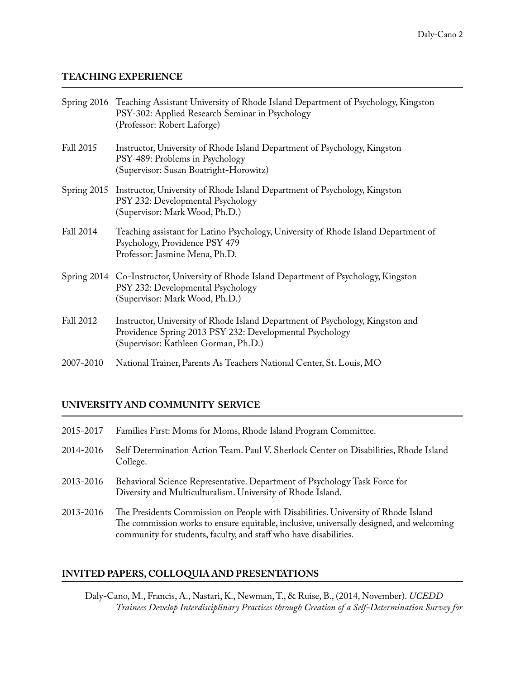### **TEACHING EXPERIENCE**

|           | Spring 2016 Teaching Assistant University of Rhode Island Department of Psychology, Kingston<br>PSY-302: Applied Research Seminar in Psychology<br>(Professor: Robert Laforge)    |
|-----------|-----------------------------------------------------------------------------------------------------------------------------------------------------------------------------------|
| Fall 2015 | Instructor, University of Rhode Island Department of Psychology, Kingston<br>PSY-489: Problems in Psychology<br>(Supervisor: Susan Boatright-Horowitz)                            |
|           | Spring 2015 Instructor, University of Rhode Island Department of Psychology, Kingston<br>PSY 232: Developmental Psychology<br>(Supervisor: Mark Wood, Ph.D.)                      |
| Fall 2014 | Teaching assistant for Latino Psychology, University of Rhode Island Department of<br>Psychology, Providence PSY 479<br>Professor: Jasmine Mena, Ph.D.                            |
|           | Spring 2014 Co-Instructor, University of Rhode Island Department of Psychology, Kingston<br>PSY 232: Developmental Psychology<br>(Supervisor: Mark Wood, Ph.D.)                   |
| Fall 2012 | Instructor, University of Rhode Island Department of Psychology, Kingston and<br>Providence Spring 2013 PSY 232: Developmental Psychology<br>(Supervisor: Kathleen Gorman, Ph.D.) |
| 2007-2010 | National Trainer, Parents As Teachers National Center, St. Louis, MO                                                                                                              |

# **UNIVERSITY AND COMMUNITY SERVICE**

| 2015-2017 | Families First: Moms for Moms, Rhode Island Program Committee.                                                                                                                                                                                     |
|-----------|----------------------------------------------------------------------------------------------------------------------------------------------------------------------------------------------------------------------------------------------------|
| 2014-2016 | Self Determination Action Team. Paul V. Sherlock Center on Disabilities, Rhode Island<br>College.                                                                                                                                                  |
| 2013-2016 | Behavioral Science Representative. Department of Psychology Task Force for<br>Diversity and Multiculturalism. University of Rhode Island.                                                                                                          |
| 2013-2016 | The Presidents Commission on People with Disabilities. University of Rhode Island<br>The commission works to ensure equitable, inclusive, universally designed, and welcoming<br>community for students, faculty, and staff who have disabilities. |

# **INVITED PAPERS, COLLOQUIA AND PRESENTATIONS**

Daly-Cano, M., Francis, A., Nastari, K., Newman, T., & Ruise, B., (2014, November). *UCEDD Trainees Develop Interdisciplinary Practices through Creation of a Self-Determination Survey for*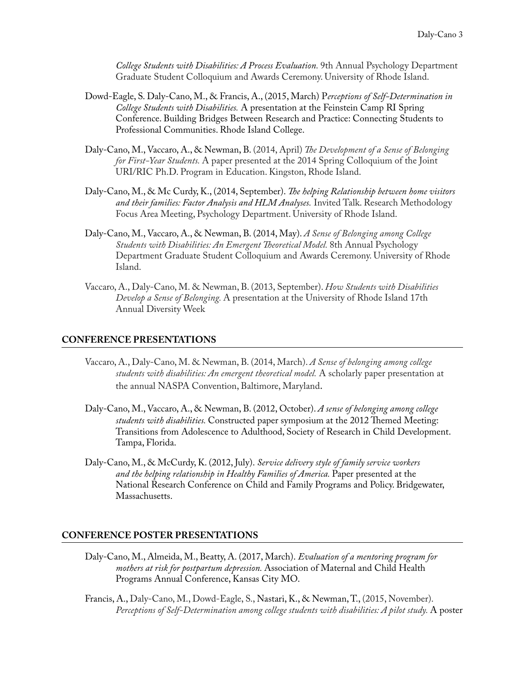*College Students with Disabilities: A Process Evaluation.* 9th Annual Psychology Department Graduate Student Colloquium and Awards Ceremony. University of Rhode Island.

- Dowd-Eagle, S. Daly-Cano, M., & Francis, A., (2015, March) P*erceptions of Self-Determination in College Students with Disabilities.* A presentation at the Feinstein Camp RI Spring Conference. Building Bridges Between Research and Practice: Connecting Students to Professional Communities. Rhode Island College.
- Daly-Cano, M., Vaccaro, A., & Newman, B. (2014, April) *Te Development of a Sense of Belonging for First-Year Students.* A paper presented at the 2014 Spring Colloquium of the Joint URI/RIC Ph.D. Program in Education. Kingston, Rhode Island.
- Daly-Cano, M., & Mc Curdy, K., (2014, September). *Te helping Relationship between home visitors and their families: Factor Analysis and HLM Analyses.* Invited Talk. Research Methodology Focus Area Meeting, Psychology Department. University of Rhode Island.
- Daly-Cano, M., Vaccaro, A., & Newman, B. (2014, May). *A Sense of Belonging among College Students with Disabilities: An Emergent Teoretical Model.* 8th Annual Psychology Department Graduate Student Colloquium and Awards Ceremony. University of Rhode Island.
- Vaccaro, A., Daly-Cano, M. & Newman, B. (2013, September). *How Students with Disabilities Develop a Sense of Belonging.* A presentation at the University of Rhode Island 17th Annual Diversity Week

#### **CONFERENCE PRESENTATIONS**

- Vaccaro, A., Daly-Cano, M. & Newman, B. (2014, March). *A Sense of belonging among college students with disabilities: An emergent theoretical model.* A scholarly paper presentation at the annual NASPA Convention, Baltimore, Maryland.
- Daly-Cano, M., Vaccaro, A., & Newman, B. (2012, October). *A sense of belonging among college students with disabilities*. Constructed paper symposium at the 2012 Themed Meeting: Transitions from Adolescence to Adulthood, Society of Research in Child Development. Tampa, Florida.
- Daly-Cano, M., & McCurdy, K. (2012, July). *Service delivery style of family service workers and the helping relationship in Healthy Families of America.* Paper presented at the National Research Conference on Child and Family Programs and Policy. Bridgewater, Massachusetts.

#### **CONFERENCE POSTER PRESENTATIONS**

- Daly-Cano, M., Almeida, M., Beatty, A. (2017, March). *Evaluation of a mentoring program for mothers at risk for postpartum depression.* Association of Maternal and Child Health Programs Annual Conference, Kansas City MO.
- Francis, A., Daly-Cano, M., Dowd-Eagle, S., Nastari, K., & Newman, T., (2015, November). *Perceptions of Self-Determination among college students with disabilities: A pilot study.* A poster